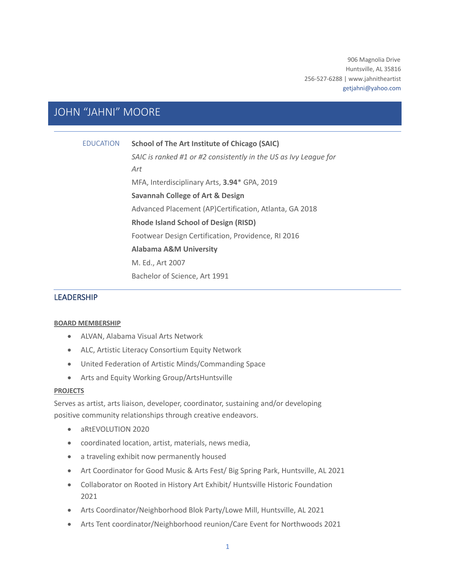906 Magnolia Drive Huntsville, AL 35816 256-527-6288 | www.jahnitheartist getjahni@yahoo.com

# JOHN "JAHNI" MOORE

EDUCATION **School of The Art Institute of Chicago (SAIC)**

*SAIC is ranked #1 or #2 consistently in the US as Ivy League for Art* MFA, Interdisciplinary Arts, **3.94**\* GPA, 2019 **Savannah College of Art & Design** Advanced Placement (AP)Certification, Atlanta, GA 2018 **Rhode Island School of Design (RISD)**  Footwear Design Certification, Providence, RI 2016 **Alabama A&M University**  M. Ed., Art 2007 Bachelor of Science, Art 1991

# LEADERSHIP

### **BOARD MEMBERSHIP**

- ALVAN, Alabama Visual Arts Network
- ALC, Artistic Literacy Consortium Equity Network
- United Federation of Artistic Minds/Commanding Space
- Arts and Equity Working Group/ArtsHuntsville

### **PROJECTS**

Serves as artist, arts liaison, developer, coordinator, sustaining and/or developing positive community relationships through creative endeavors.

- aRtEVOLUTION 2020
- coordinated location, artist, materials, news media,
- a traveling exhibit now permanently housed
- Art Coordinator for Good Music & Arts Fest/ Big Spring Park, Huntsville, AL 2021
- Collaborator on Rooted in History Art Exhibit/ Huntsville Historic Foundation 2021
- Arts Coordinator/Neighborhood Blok Party/Lowe Mill, Huntsville, AL 2021
- Arts Tent coordinator/Neighborhood reunion/Care Event for Northwoods 2021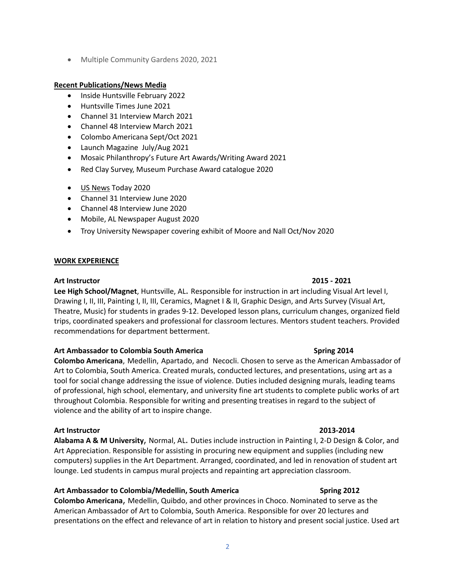• Multiple Community Gardens 2020, 2021

# **Recent Publications/News Media**

- Inside Huntsville February 2022
- Huntsville Times June 2021
- Channel 31 Interview March 2021
- Channel 48 Interview March 2021
- Colombo Americana Sept/Oct 2021
- Launch Magazine July/Aug 2021
- Mosaic Philanthropy's Future Art Awards/Writing Award 2021
- Red Clay Survey, Museum Purchase Award catalogue 2020
- US News Today 2020
- Channel 31 Interview June 2020
- Channel 48 Interview June 2020
- Mobile, AL Newspaper August 2020
- Troy University Newspaper covering exhibit of Moore and Nall Oct/Nov 2020

# **WORK EXPERIENCE**

### **Art Instructor 2015 - 2021**

**Lee High School/Magnet**, Huntsville, AL. Responsible for instruction in art including Visual Art level I, Drawing I, II, III, Painting I, II, III, Ceramics, Magnet I & II, Graphic Design, and Arts Survey (Visual Art, Theatre, Music) for students in grades 9-12. Developed lesson plans, curriculum changes, organized field trips, coordinated speakers and professional for classroom lectures. Mentors student teachers. Provided recommendations for department betterment.

# **Art Ambassador to Colombia South America Spring 2014**

**Colombo Americana**, Medellin, Apartado, and Necocli. Chosen to serve as the American Ambassador of Art to Colombia, South America. Created murals, conducted lectures, and presentations, using art as a tool for social change addressing the issue of violence. Duties included designing murals, leading teams of professional, high school, elementary, and university fine art students to complete public works of art throughout Colombia. Responsible for writing and presenting treatises in regard to the subject of violence and the ability of art to inspire change.

# **Art Instructor 2013-2014**

**Alabama A & M University**, Normal, AL. Duties include instruction in Painting I, 2-D Design & Color, and Art Appreciation. Responsible for assisting in procuring new equipment and supplies (including new computers) supplies in the Art Department. Arranged, coordinated, and led in renovation of student art lounge. Led students in campus mural projects and repainting art appreciation classroom.

# Art Ambassador to Colombia/Medellin, South America **Secure 2012** Spring 2012

**Colombo Americana**, Medellin, Quibdo, and other provinces in Choco. Nominated to serve as the American Ambassador of Art to Colombia, South America. Responsible for over 20 lectures and presentations on the effect and relevance of art in relation to history and present social justice. Used art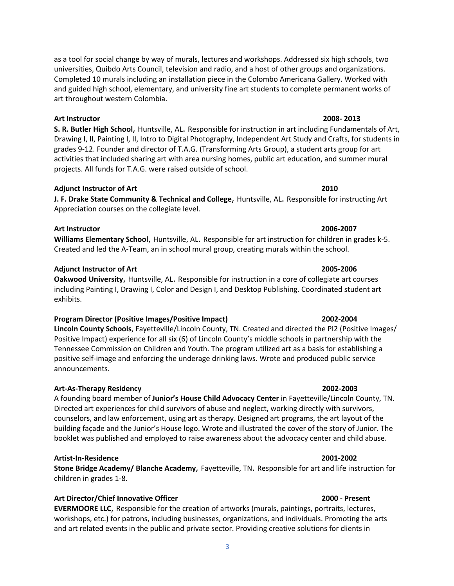as a tool for social change by way of murals, lectures and workshops. Addressed six high schools, two universities, Quibdo Arts Council, television and radio, and a host of other groups and organizations. Completed 10 murals including an installation piece in the Colombo Americana Gallery. Worked with and guided high school, elementary, and university fine art students to complete permanent works of art throughout western Colombia.

### **Art Instructor 2008- 2013**

**S. R. Butler High School**, Huntsville, AL. Responsible for instruction in art including Fundamentals of Art, Drawing I, II, Painting I, II, Intro to Digital Photography, Independent Art Study and Crafts, for students in grades 9-12. Founder and director of T.A.G. (Transforming Arts Group), a student arts group for art activities that included sharing art with area nursing homes, public art education, and summer mural projects. All funds for T.A.G. were raised outside of school.

# **Adjunct Instructor of Art 2010**

**J. F. Drake State Community & Technical and College**, Huntsville, AL. Responsible for instructing Art Appreciation courses on the collegiate level.

### **Art Instructor 2006-2007**

**Williams Elementary School**, Huntsville, AL. Responsible for art instruction for children in grades k-5. Created and led the A-Team, an in school mural group, creating murals within the school.

### **Adjunct Instructor of Art 2005-2006**

**Oakwood University**, Huntsville, AL. Responsible for instruction in a core of collegiate art courses including Painting I, Drawing I, Color and Design I, and Desktop Publishing. Coordinated student art exhibits.

# **Program Director (Positive Images/Positive Impact) 2002-2004**

**Lincoln County Schools**, Fayetteville/Lincoln County, TN. Created and directed the PI2 (Positive Images/ Positive Impact) experience for all six (6) of Lincoln County's middle schools in partnership with the Tennessee Commission on Children and Youth. The program utilized art as a basis for establishing a positive self-image and enforcing the underage drinking laws. Wrote and produced public service announcements.

# **Art-As-Therapy Residency 2002-2003**

A founding board member of **Junior's House Child Advocacy Center** in Fayetteville/Lincoln County, TN. Directed art experiences for child survivors of abuse and neglect, working directly with survivors, counselors, and law enforcement, using art as therapy. Designed art programs, the art layout of the building façade and the Junior's House logo. Wrote and illustrated the cover of the story of Junior. The booklet was published and employed to raise awareness about the advocacy center and child abuse.

### **Artist-In-Residence 2001-2002**

**Stone Bridge Academy/ Blanche Academy**, Fayetteville, TN. Responsible for art and life instruction for children in grades 1-8.

# **Art Director/Chief Innovative Officer 2000 - Present**

**EVERMOORE LLC**, Responsible for the creation of artworks (murals, paintings, portraits, lectures, workshops, etc.) for patrons, including businesses, organizations, and individuals. Promoting the arts and art related events in the public and private sector. Providing creative solutions for clients in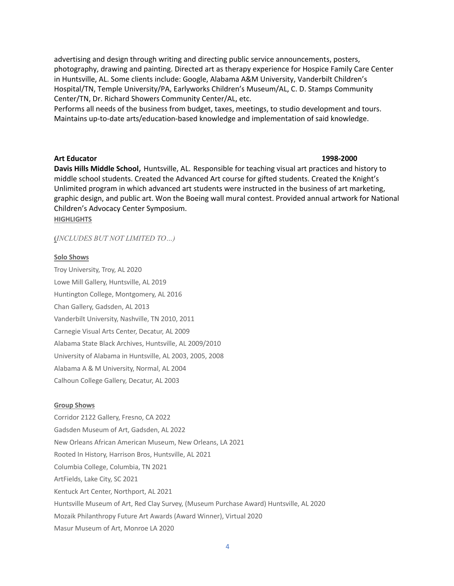advertising and design through writing and directing public service announcements, posters, photography, drawing and painting. Directed art as therapy experience for Hospice Family Care Center in Huntsville, AL. Some clients include: Google, Alabama A&M University, Vanderbilt Children's Hospital/TN, Temple University/PA, Earlyworks Children's Museum/AL, C. D. Stamps Community Center/TN, Dr. Richard Showers Community Center/AL, etc.

Performs all needs of the business from budget, taxes, meetings, to studio development and tours. Maintains up-to-date arts/education-based knowledge and implementation of said knowledge.

### **Art Educator 1998-2000**

**Davis Hills Middle School**, Huntsville, AL. Responsible for teaching visual art practices and history to middle school students. Created the Advanced Art course for gifted students. Created the Knight's Unlimited program in which advanced art students were instructed in the business of art marketing, graphic design, and public art. Won the Boeing wall mural contest. Provided annual artwork for National Children's Advocacy Center Symposium.

**HIGHLIGHTS** 

**(***INCLUDES BUT NOT LIMITED TO…)*

### **Solo Shows**

Troy University, Troy, AL 2020 Lowe Mill Gallery, Huntsville, AL 2019 Huntington College, Montgomery, AL 2016 Chan Gallery, Gadsden, AL 2013 Vanderbilt University, Nashville, TN 2010, 2011 Carnegie Visual Arts Center, Decatur, AL 2009 Alabama State Black Archives, Huntsville, AL 2009/2010 University of Alabama in Huntsville, AL 2003, 2005, 2008 Alabama A & M University, Normal, AL 2004 Calhoun College Gallery, Decatur, AL 2003

### **Group Shows**

Corridor 2122 Gallery, Fresno, CA 2022 Gadsden Museum of Art, Gadsden, AL 2022 New Orleans African American Museum, New Orleans, LA 2021 Rooted In History, Harrison Bros, Huntsville, AL 2021 Columbia College, Columbia, TN 2021 ArtFields, Lake City, SC 2021 Kentuck Art Center, Northport, AL 2021 Huntsville Museum of Art, Red Clay Survey, (Museum Purchase Award) Huntsville, AL 2020 Mozaik Philanthropy Future Art Awards (Award Winner), Virtual 2020 Masur Museum of Art, Monroe LA 2020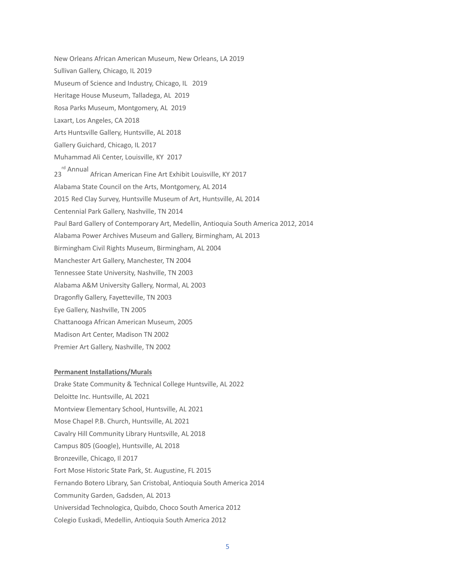New Orleans African American Museum, New Orleans, LA 2019 Sullivan Gallery, Chicago, IL 2019 Museum of Science and Industry, Chicago, IL 2019 Heritage House Museum, Talladega, AL 2019 Rosa Parks Museum, Montgomery, AL 2019 Laxart, Los Angeles, CA 2018 Arts Huntsville Gallery, Huntsville, AL 2018 Gallery Guichard, Chicago, IL 2017 Muhammad Ali Center, Louisville, KY 2017 23 rd Annual African American Fine Art Exhibit Louisville, KY 2017 Alabama State Council on the Arts, Montgomery, AL 2014 2015 Red Clay Survey, Huntsville Museum of Art, Huntsville, AL 2014 Centennial Park Gallery, Nashville, TN 2014 Paul Bard Gallery of Contemporary Art, Medellin, Antioquia South America 2012, 2014 Alabama Power Archives Museum and Gallery, Birmingham, AL 2013 Birmingham Civil Rights Museum, Birmingham, AL 2004 Manchester Art Gallery, Manchester, TN 2004 Tennessee State University, Nashville, TN 2003 Alabama A&M University Gallery, Normal, AL 2003 Dragonfly Gallery, Fayetteville, TN 2003 Eye Gallery, Nashville, TN 2005 Chattanooga African American Museum, 2005 Madison Art Center, Madison TN 2002 Premier Art Gallery, Nashville, TN 2002

### **Permanent Installations/Murals**

Drake State Community & Technical College Huntsville, AL 2022 Deloitte Inc. Huntsville, AL 2021 Montview Elementary School, Huntsville, AL 2021 Mose Chapel P.B. Church, Huntsville, AL 2021 Cavalry Hill Community Library Huntsville, AL 2018 Campus 805 (Google), Huntsville, AL 2018 Bronzeville, Chicago, Il 2017 Fort Mose Historic State Park, St. Augustine, FL 2015 Fernando Botero Library, San Cristobal, Antioquia South America 2014 Community Garden, Gadsden, AL 2013 Universidad Technologica, Quibdo, Choco South America 2012 Colegio Euskadi, Medellin, Antioquia South America 2012